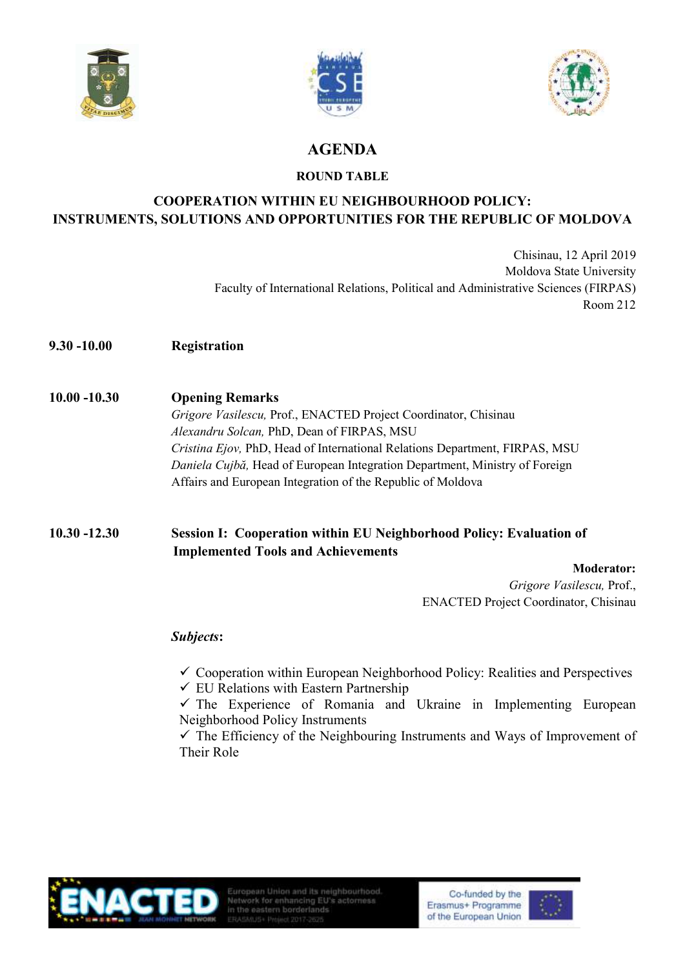





# **AGENDA**

### **ROUND TABLE**

# **COOPERATION WITHIN EU NEIGHBOURHOOD POLICY: INSTRUMENTS, SOLUTIONS AND OPPORTUNITIES FOR THE REPUBLIC OF MOLDOVA**

Chisinau, 12 April 2019 Moldova State University Faculty of International Relations, Political and Administrative Sciences (FIRPAS) Room 212

- **9.30 -10.00 Registration**
- **10.00 -10.30 Opening Remarks** *Grigore Vasilescu,* Prof., ENACTED Project Coordinator, Chisinau *Alexandru Solcan,* PhD, Dean of FIRPAS, MSU

*Cristina Ejov,* PhD, Head of International Relations Department, FIRPAS, MSU *Daniela Cujbă,* Head of European Integration Department, Ministry of Foreign Affairs and European Integration of the Republic of Moldova

## **10.30 -12.30 Session I: Cooperation within EU Neighborhood Policy: Evaluation of Implemented Tools and Achievements**

#### **Moderator:**

*Grigore Vasilescu,* Prof., ENACTED Project Coordinator, Chisinau

### *Subjects***:**

 $\checkmark$  Cooperation within European Neighborhood Policy: Realities and Perspectives

 $\checkmark$  EU Relations with Eastern Partnership

 $\checkmark$  The Experience of Romania and Ukraine in Implementing European Neighborhood Policy Instruments

 $\checkmark$  The Efficiency of the Neighbouring Instruments and Ways of Improvement of Their Role